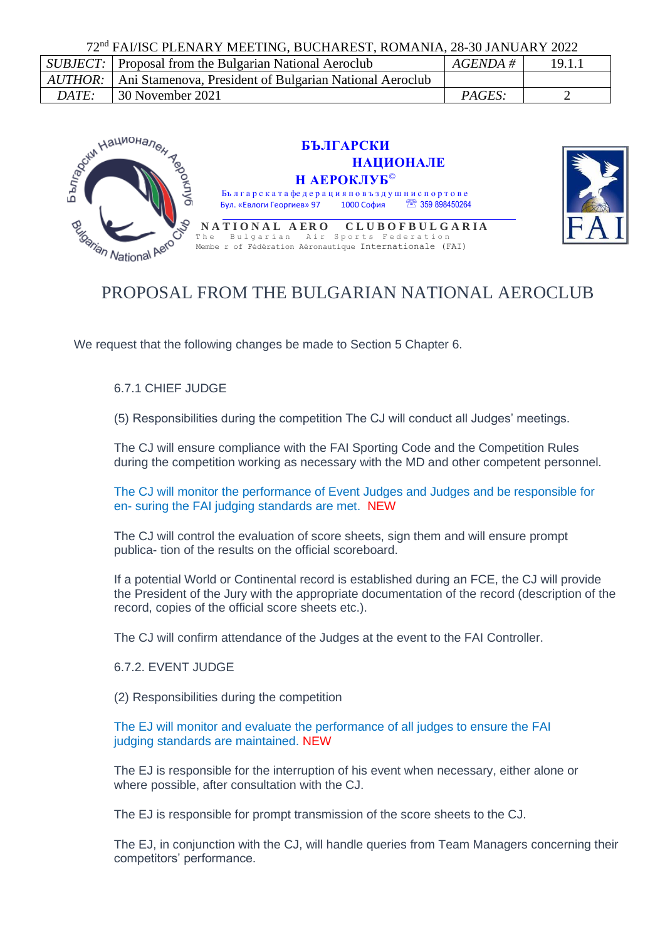72nd FAI/ISC PLENARY MEETING, BUCHAREST, ROMANIA, 28-30 JANUARY 2022

|       | SUBJECT:   Proposal from the Bulgarian National Aeroclub          | $AGENDA \#$   | 19.1.1 |
|-------|-------------------------------------------------------------------|---------------|--------|
|       | AUTHOR:   Ani Stamenova, President of Bulgarian National Aeroclub |               |        |
| DATE: | 30 November 2021                                                  | <i>PAGES:</i> |        |



# PROPOSAL FROM THE BULGARIAN NATIONAL AEROCLUB

We request that the following changes be made to Section 5 Chapter 6.

## 6.7.1 CHIEF JUDGE

(5) Responsibilities during the competition The CJ will conduct all Judges' meetings.

The CJ will ensure compliance with the FAI Sporting Code and the Competition Rules during the competition working as necessary with the MD and other competent personnel.

The CJ will monitor the performance of Event Judges and Judges and be responsible for en- suring the FAI judging standards are met. NEW

The CJ will control the evaluation of score sheets, sign them and will ensure prompt publica- tion of the results on the official scoreboard.

If a potential World or Continental record is established during an FCE, the CJ will provide the President of the Jury with the appropriate documentation of the record (description of the record, copies of the official score sheets etc.).

The CJ will confirm attendance of the Judges at the event to the FAI Controller.

#### 6.7.2. EVENT JUDGE

(2) Responsibilities during the competition

The EJ will monitor and evaluate the performance of all judges to ensure the FAI judging standards are maintained. NEW

The EJ is responsible for the interruption of his event when necessary, either alone or where possible, after consultation with the CJ.

The EJ is responsible for prompt transmission of the score sheets to the CJ.

The EJ, in conjunction with the CJ, will handle queries from Team Managers concerning their competitors' performance.